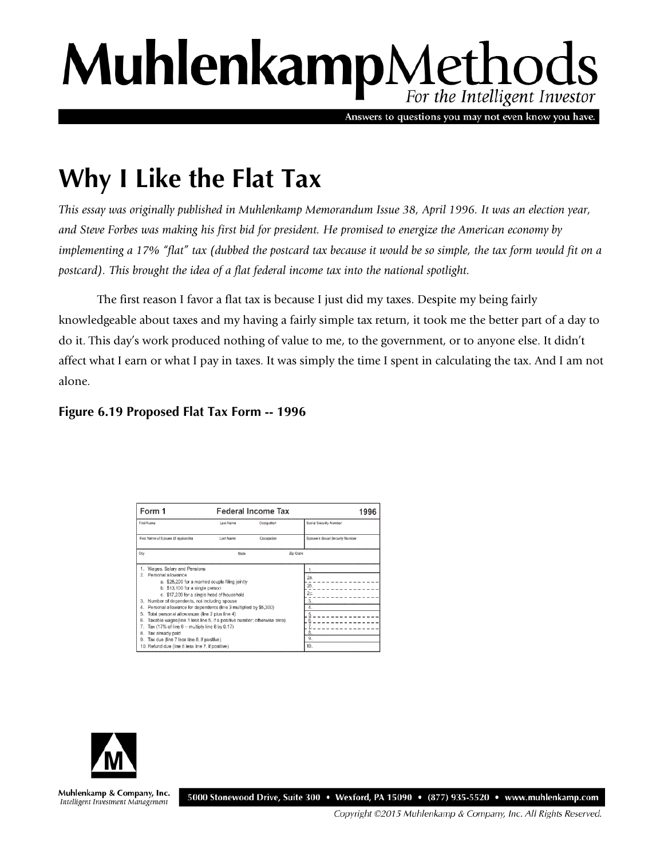# MuhlenkampMethods

Answers to questions you may not even know you have.

## **Why I Like the Flat Tax**

*This essay was originally published in Muhlenkamp Memorandum Issue 38, April 1996. It was an election year, and Steve Forbes was making his first bid for president. He promised to energize the American economy by implementing a 17% "flat" tax (dubbed the postcard tax because it would be so simple, the tax form would fit on a postcard). This brought the idea of a flat federal income tax into the national spotlight.* 

The first reason I favor a flat tax is because I just did my taxes. Despite my being fairly knowledgeable about taxes and my having a fairly simple tax return, it took me the better part of a day to do it. This day's work produced nothing of value to me, to the government, or to anyone else. It didn't affect what I earn or what I pay in taxes. It was simply the time I spent in calculating the tax. And I am not alone.

### **Figure 6.19 Proposed Flat Tax Form -- 1996**

| Form 1                                                                                                    |           | Federal Income Tax | 1996                            |
|-----------------------------------------------------------------------------------------------------------|-----------|--------------------|---------------------------------|
| First Name                                                                                                | Last Name | Occupation         | Social Security Number          |
| First Name of Spouse (if applicable)                                                                      | Last Name | Oscupation         | Scouse's Social Security Number |
| City                                                                                                      | State     |                    | Zip Code                        |
| 1. Wages, Salary and Pensions<br>2. Personal allowance<br>a. \$25,200 for a married couple filing jointly |           |                    | 1.                              |
|                                                                                                           |           |                    | 2а.                             |
| b. \$13,100 for a single person                                                                           |           |                    | 2 <sub>b</sub>                  |
| c. \$17,200 for a single head of household                                                                |           |                    | 2c                              |
| Number of dependents, not including spouse<br>3.                                                          |           |                    | 3                               |
| Personal allowance for dependents (line 3 multiplied by \$5,300)<br>4.                                    |           |                    | 4                               |
| Total personal allowances (line 2 plus line 4)<br>5.                                                      |           |                    |                                 |
| Taxable wages(line 1 less line 5, if a positive number; otherwise zero)<br>6.                             |           |                    |                                 |
| 7.<br>Tax (17% of line 6 -- multiply line 6 by 0.17)                                                      |           |                    |                                 |
| Tax already paid<br>8.<br>Tax due (line 7 less line 8, if positive)<br>9.                                 |           |                    | 9.                              |
| 10. Refund due (line 8 less line 7, if positive)                                                          |           |                    | 10.                             |



Muhlenkamp & Company, Inc. Intelligent Investment Management

5000 Stonewood Drive, Suite 300 • Wexford, PA 15090 • (877) 935-5520 • www.muhlenkamp.com

Copyright ©2015 Muhlenkamp & Company, Inc. All Rights Reserved.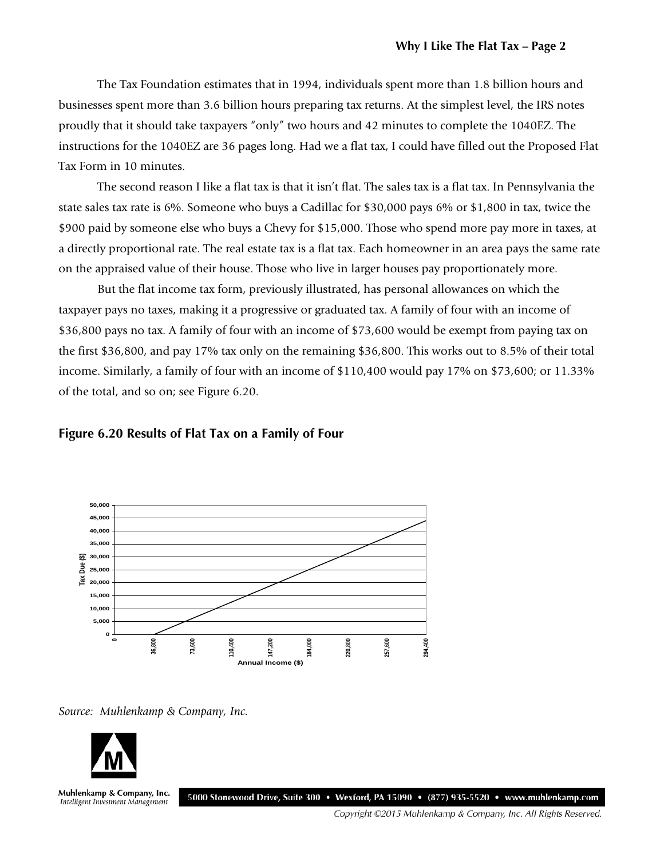The Tax Foundation estimates that in 1994, individuals spent more than 1.8 billion hours and businesses spent more than 3.6 billion hours preparing tax returns. At the simplest level, the IRS notes proudly that it should take taxpayers "only" two hours and 42 minutes to complete the 1040EZ. The instructions for the 1040EZ are 36 pages long. Had we a flat tax, I could have filled out the Proposed Flat Tax Form in 10 minutes.

The second reason I like a flat tax is that it isn't flat. The sales tax is a flat tax. In Pennsylvania the state sales tax rate is 6%. Someone who buys a Cadillac for \$30,000 pays 6% or \$1,800 in tax, twice the \$900 paid by someone else who buys a Chevy for \$15,000. Those who spend more pay more in taxes, at a directly proportional rate. The real estate tax is a flat tax. Each homeowner in an area pays the same rate on the appraised value of their house. Those who live in larger houses pay proportionately more.

But the flat income tax form, previously illustrated, has personal allowances on which the taxpayer pays no taxes, making it a progressive or graduated tax. A family of four with an income of \$36,800 pays no tax. A family of four with an income of \$73,600 would be exempt from paying tax on the first \$36,800, and pay 17% tax only on the remaining \$36,800. This works out to 8.5% of their total income. Similarly, a family of four with an income of \$110,400 would pay 17% on \$73,600; or 11.33% of the total, and so on; see Figure 6.20.

#### **Figure 6.20 Results of Flat Tax on a Family of Four**



*Source: Muhlenkamp & Company, Inc.*



Muhlenkamp & Company, Inc. Intelligent Investment Management

5000 Stonewood Drive, Suite 300 • Wexford, PA 15090 • (877) 935-5520 • www.muhlenkamp.com

Copyright ©2015 Muhlenkamp & Company, Inc. All Rights Reserved.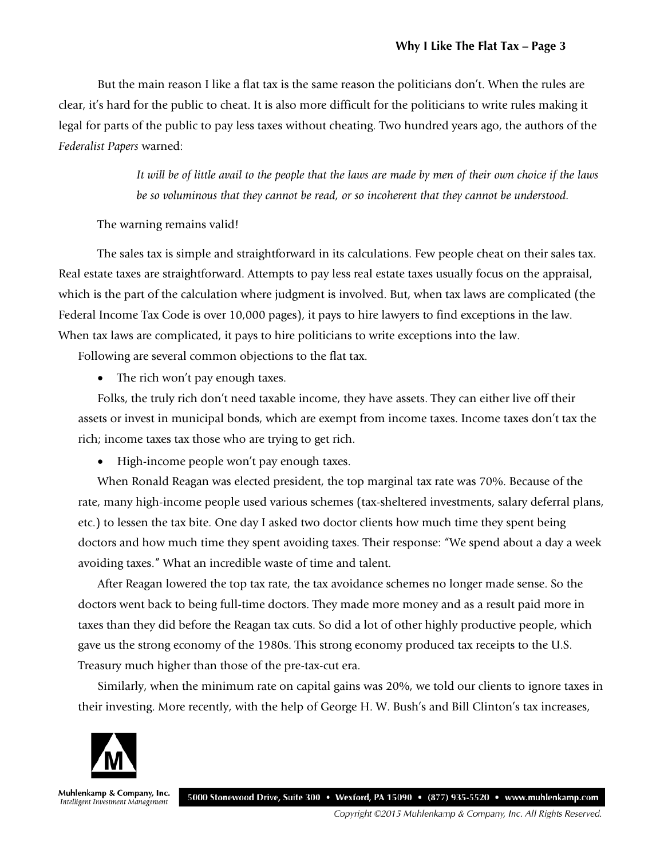But the main reason I like a flat tax is the same reason the politicians don't. When the rules are clear, it's hard for the public to cheat. It is also more difficult for the politicians to write rules making it legal for parts of the public to pay less taxes without cheating. Two hundred years ago, the authors of the *Federalist Papers* warned:

> *It will be of little avail to the people that the laws are made by men of their own choice if the laws be so voluminous that they cannot be read, or so incoherent that they cannot be understood.*

#### The warning remains valid!

The sales tax is simple and straightforward in its calculations. Few people cheat on their sales tax. Real estate taxes are straightforward. Attempts to pay less real estate taxes usually focus on the appraisal, which is the part of the calculation where judgment is involved. But, when tax laws are complicated (the Federal Income Tax Code is over 10,000 pages), it pays to hire lawyers to find exceptions in the law. When tax laws are complicated, it pays to hire politicians to write exceptions into the law.

Following are several common objections to the flat tax.

• The rich won't pay enough taxes.

Folks, the truly rich don't need taxable income, they have assets. They can either live off their assets or invest in municipal bonds, which are exempt from income taxes. Income taxes don't tax the rich; income taxes tax those who are trying to get rich.

• High-income people won't pay enough taxes.

When Ronald Reagan was elected president, the top marginal tax rate was 70%. Because of the rate, many high-income people used various schemes (tax-sheltered investments, salary deferral plans, etc.) to lessen the tax bite. One day I asked two doctor clients how much time they spent being doctors and how much time they spent avoiding taxes. Their response: "We spend about a day a week avoiding taxes." What an incredible waste of time and talent.

After Reagan lowered the top tax rate, the tax avoidance schemes no longer made sense. So the doctors went back to being full-time doctors. They made more money and as a result paid more in taxes than they did before the Reagan tax cuts. So did a lot of other highly productive people, which gave us the strong economy of the 1980s. This strong economy produced tax receipts to the U.S. Treasury much higher than those of the pre-tax-cut era.

Similarly, when the minimum rate on capital gains was 20%, we told our clients to ignore taxes in their investing. More recently, with the help of George H. W. Bush's and Bill Clinton's tax increases,



Muhlenkamp & Company, Inc. Intelligent Investment Management